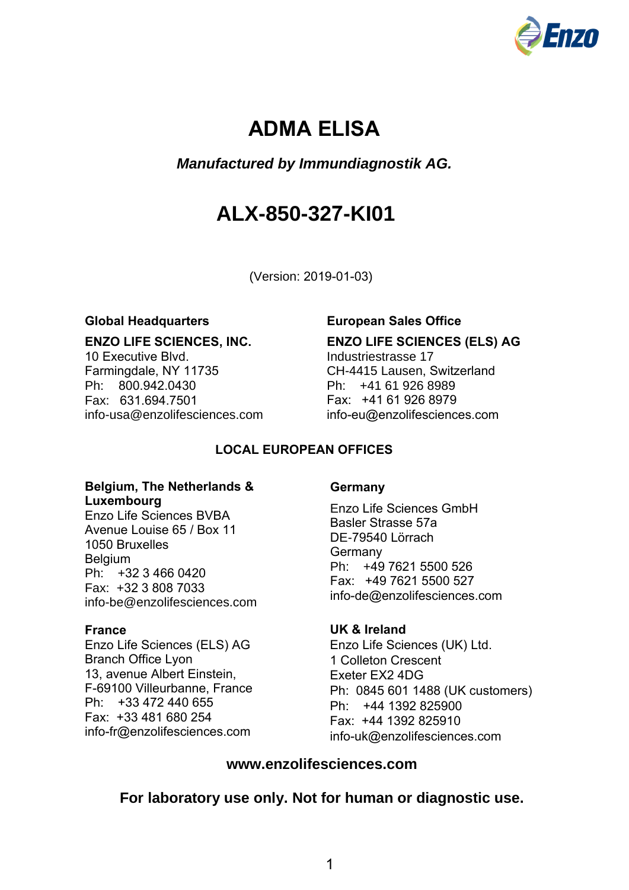

## **ADMA ELISA**

## *Manufactured by Immundiagnostik AG.*

# **ALX-850-327-KI01**

(Version: 2019-01-03)

#### **Global Headquarters**

#### **ENZO LIFE SCIENCES, INC.**

10 Executive Blvd. Farmingdale, NY 11735 Ph: 800.942.0430 Fax: 631.694.7501 info-usa@enzolifesciences.com

#### **European Sales Office**

**ENZO LIFE SCIENCES (ELS) AG**

Industriestrasse 17 CH-4415 Lausen, Switzerland Ph: +41 61 926 8989 Fax: +41 61 926 8979 info-eu@enzolifesciences.com

#### **LOCAL EUROPEAN OFFICES**

#### **Belgium, The Netherlands & Luxembourg**

Enzo Life Sciences BVBA Avenue Louise 65 / Box 11 1050 Bruxelles Belgium Ph: +32 3 466 0420 Fax: +32 3 808 7033 info-be@enzolifesciences.com

#### **France**

Enzo Life Sciences (ELS) AG Branch Office Lyon 13, avenue Albert Einstein, F-69100 Villeurbanne, France Ph: +33 472 440 655 Fax: +33 481 680 254 info-fr@enzolifesciences.com

#### **Germany**

Enzo Life Sciences GmbH Basler Strasse 57a DE-79540 Lörrach Germany Ph: +49 7621 5500 526 Fax: +49 7621 5500 527 info-de@enzolifesciences.com

#### **UK & Ireland**

Enzo Life Sciences (UK) Ltd. 1 Colleton Crescent Exeter EX2 4DG Ph: 0845 601 1488 (UK customers) Ph: +44 1392 825900 Fax: +44 1392 825910 info-uk@enzolifesciences.com

#### **www.enzolifesciences.com**

**For laboratory use only. Not for human or diagnostic use.**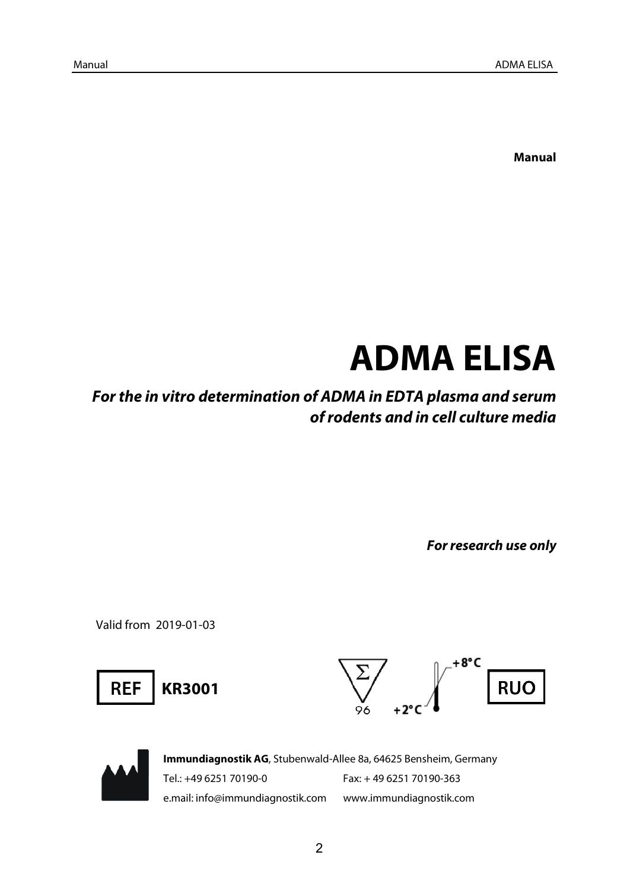**Manual**

# **ADMA ELISA**

## *For the in vitro determination of ADMA in EDTA plasma and serum of rodents and in cell culture media*

*For research use only*

Valid from 2019-01-03







**Immundiagnostik AG**, Stubenwald-Allee 8a, 64625 Bensheim, Germany Tel.: +49 6251 70190-0 Fax: + 49 6251 70190-363 e.mail[: info@immundiagnostik.com](mailto:Immundiagnostik@t-online.de) www.immundiagnostik.com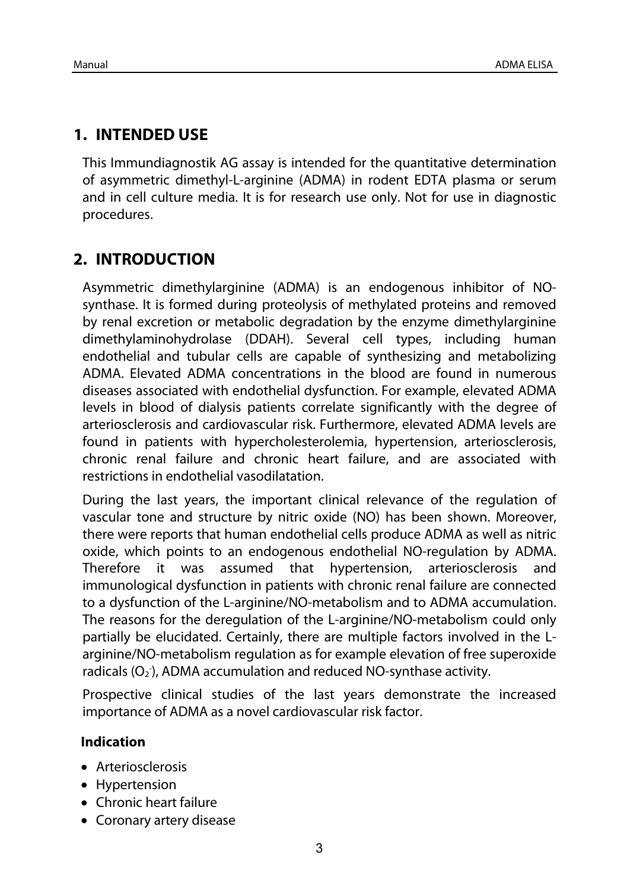## **1. INTENDED USE**

This Immundiagnostik AG assay is intended for the quantitative determination of asymmetric dimethyl-L-arginine (ADMA) in rodent EDTA plasma or serum and in cell culture media. It is for research use only. Not for use in diagnostic procedures.

## **2. INTRODUCTION**

Asymmetric dimethylarginine (ADMA) is an endogenous inhibitor of NOsynthase. It is formed during proteolysis of methylated proteins and removed by renal excretion or metabolic degradation by the enzyme dimethylarginine dimethylaminohydrolase (DDAH). Several cell types, including human endothelial and tubular cells are capable of synthesizing and metabolizing ADMA. Elevated ADMA concentrations in the blood are found in numerous diseases associated with endothelial dysfunction. For example, elevated ADMA levels in blood of dialysis patients correlate significantly with the degree of arteriosclerosis and cardiovascular risk. Furthermore, elevated ADMA levels are found in patients with hypercholesterolemia, hypertension, arteriosclerosis, chronic renal failure and chronic heart failure, and are associated with restrictions in endothelial vasodilatation.

During the last years, the important clinical relevance of the regulation of vascular tone and structure by nitric oxide (NO) has been shown. Moreover, there were reports that human endothelial cells produce ADMA as well as nitric oxide, which points to an endogenous endothelial NO-regulation by ADMA. Therefore it was assumed that hypertension, arteriosclerosis and immunological dysfunction in patients with chronic renal failure are connected to a dysfunction of the L-arginine/NO-metabolism and to ADMA accumulation. The reasons for the deregulation of the L-arginine/NO-metabolism could only partially be elucidated. Certainly, there are multiple factors involved in the Larginine/NO-metabolism regulation as for example elevation of free superoxide radicals  $(O_2)$ , ADMA accumulation and reduced NO-synthase activity.

Prospective clinical studies of the last years demonstrate the increased importance of ADMA as a novel cardiovascular risk factor.

#### **Indication**

- Arteriosclerosis
- Hypertension
- Chronic heart failure
- Coronary artery disease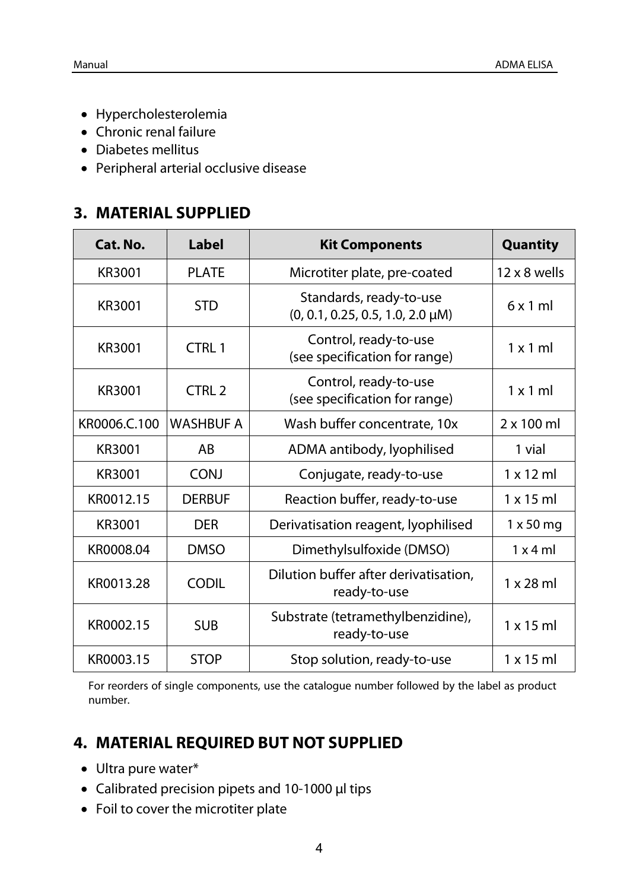- Hypercholesterolemia
- Chronic renal failure
- Diabetes mellitus
- Peripheral arterial occlusive disease

## **3. MATERIAL SUPPLIED**

| Cat. No.      | <b>Label</b>     | <b>Kit Components</b>                                            | Quantity            |
|---------------|------------------|------------------------------------------------------------------|---------------------|
| <b>KR3001</b> | <b>PLATE</b>     | Microtiter plate, pre-coated                                     | $12 \times 8$ wells |
| KR3001        | <b>STD</b>       | Standards, ready-to-use<br>$(0, 0.1, 0.25, 0.5, 1.0, 2.0 \mu M)$ | 6x1ml               |
| <b>KR3001</b> | <b>CTRL1</b>     | Control, ready-to-use<br>(see specification for range)           | $1 \times 1$ m      |
| <b>KR3001</b> | <b>CTRL 2</b>    | Control, ready-to-use<br>(see specification for range)           | $1 \times 1$ m      |
| KR0006.C.100  | <b>WASHBUF A</b> | Wash buffer concentrate, 10x                                     | $2 \times 100$ ml   |
| KR3001        | AB               | ADMA antibody, lyophilised                                       | 1 vial              |
| KR3001        | <b>CONJ</b>      | Conjugate, ready-to-use                                          | $1 \times 12$ ml    |
| KR0012.15     | <b>DERBUF</b>    | Reaction buffer, ready-to-use                                    | $1 \times 15$ ml    |
| KR3001        | <b>DER</b>       | Derivatisation reagent, lyophilised                              | $1 \times 50$ mg    |
| KR0008.04     | <b>DMSO</b>      | Dimethylsulfoxide (DMSO)                                         | $1 \times 4$ m      |
| KR0013.28     | <b>CODIL</b>     | Dilution buffer after derivatisation,<br>ready-to-use            | $1 \times 28$ ml    |
| KR0002.15     | <b>SUB</b>       | Substrate (tetramethylbenzidine),<br>ready-to-use                | $1 \times 15$ ml    |
| KR0003.15     | <b>STOP</b>      | Stop solution, ready-to-use                                      | $1 \times 15$ ml    |

For reorders of single components, use the catalogue number followed by the label as product number.

## **4. MATERIAL REQUIRED BUT NOT SUPPLIED**

- Ultra pure water\*
- Calibrated precision pipets and 10-1000 µl tips
- Foil to cover the microtiter plate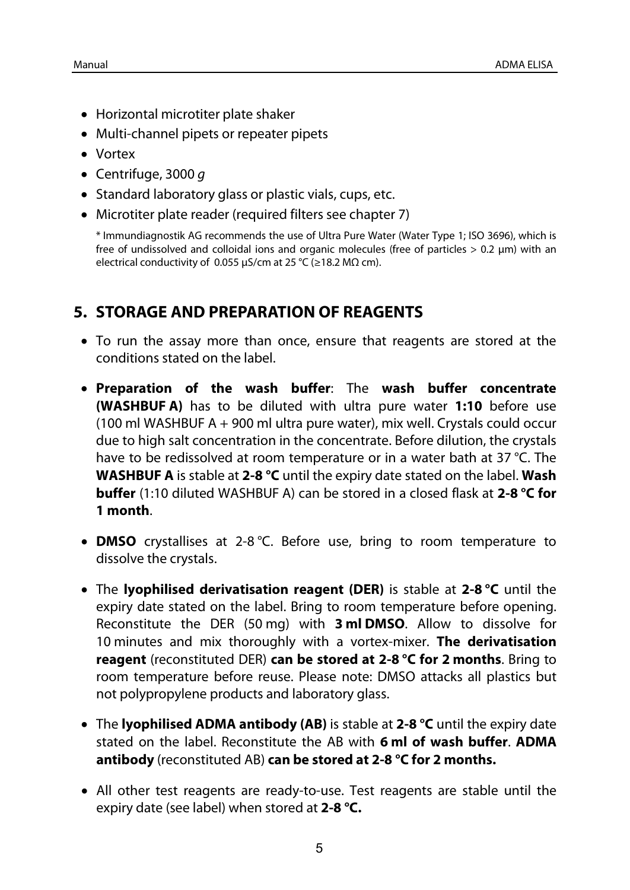- Horizontal microtiter plate shaker
- Multi-channel pipets or repeater pipets
- Vortex
- Centrifuge, 3000 *g*
- Standard laboratory glass or plastic vials, cups, etc.
- Microtiter plate reader (required filters see chapter 7)

\* Immundiagnostik AG recommends the use of Ultra Pure Water (Water Type 1; ISO 3696), which is free of undissolved and colloidal ions and organic molecules (free of particles > 0.2 μm) with an electrical conductivity of 0.055 μS/cm at 25 °C (≥18.2 MΩ cm).

## **5. STORAGE AND PREPARATION OF REAGENTS**

- To run the assay more than once, ensure that reagents are stored at the conditions stated on the label.
- **Preparation of the wash buffer**: The **wash buffer concentrate (WASHBUF A)** has to be diluted with ultra pure water **1:10** before use (100 ml WASHBUF A + 900 ml ultra pure water), mix well. Crystals could occur due to high salt concentration in the concentrate. Before dilution, the crystals have to be redissolved at room temperature or in a water bath at 37 °C. The **WASHBUF A** is stable at **2-8 °C** until the expiry date stated on the label. **Wash buffer** (1:10 diluted WASHBUF A) can be stored in a closed flask at **2-8 °C for 1 month**.
- **DMSO** crystallises at 2-8 °C. Before use, bring to room temperature to dissolve the crystals.
- The **lyophilised derivatisation reagent (DER)** is stable at **2-8 °C** until the expiry date stated on the label. Bring to room temperature before opening. Reconstitute the DER (50 mg) with **3 ml DMSO**. Allow to dissolve for 10 minutes and mix thoroughly with a vortex-mixer. **The derivatisation reagent** (reconstituted DER) **can be stored at 2-8 °C for 2 months**. Bring to room temperature before reuse. Please note: DMSO attacks all plastics but not polypropylene products and laboratory glass.
- The **lyophilised ADMA antibody (AB)** is stable at **2-8 °C** until the expiry date stated on the label. Reconstitute the AB with **6 ml of wash buffer**. **ADMA antibody** (reconstituted AB) **can be stored at 2-8 °C for 2 months.**
- All other test reagents are ready-to-use. Test reagents are stable until the expiry date (see label) when stored at **2-8 °C.**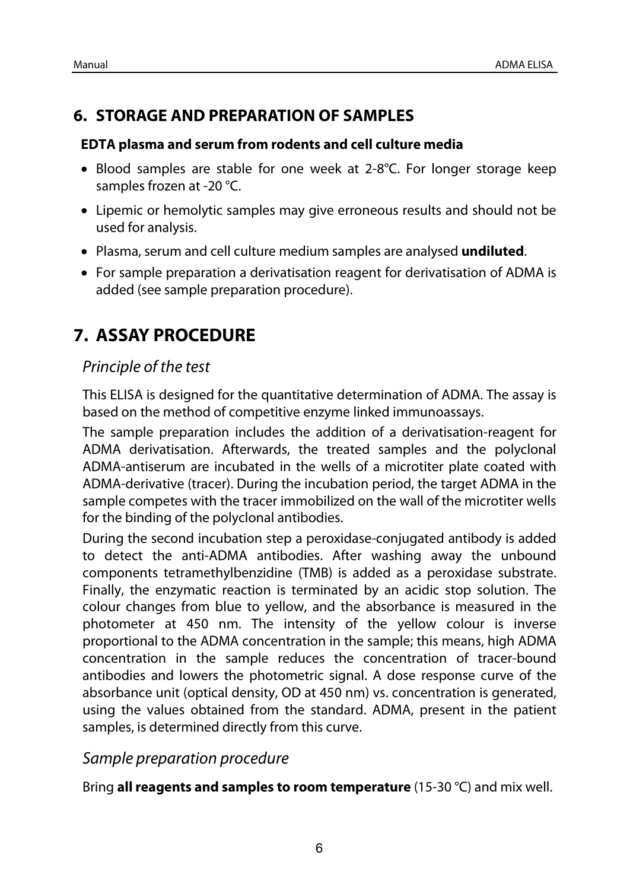## **6. STORAGE AND PREPARATION OF SAMPLES**

#### **EDTA plasma and serum from rodents and cell culture media**

- Blood samples are stable for one week at 2-8°C. For longer storage keep samples frozen at -20 °C.
- Lipemic or hemolytic samples may give erroneous results and should not be used for analysis.
- Plasma, serum and cell culture medium samples are analysed **undiluted**.
- For sample preparation a derivatisation reagent for derivatisation of ADMA is added (see sample preparation procedure).

## **7. ASSAY PROCEDURE**

## *Principle of the test*

This ELISA is designed for the quantitative determination of ADMA. The assay is based on the method of competitive enzyme linked immunoassays.

The sample preparation includes the addition of a derivatisation-reagent for ADMA derivatisation. Afterwards, the treated samples and the polyclonal ADMA-antiserum are incubated in the wells of a microtiter plate coated with ADMA-derivative (tracer). During the incubation period, the target ADMA in the sample competes with the tracer immobilized on the wall of the microtiter wells for the binding of the polyclonal antibodies.

During the second incubation step a peroxidase-conjugated antibody is added to detect the anti-ADMA antibodies. After washing away the unbound components tetramethylbenzidine (TMB) is added as a peroxidase substrate. Finally, the enzymatic reaction is terminated by an acidic stop solution. The colour changes from blue to yellow, and the absorbance is measured in the photometer at 450 nm. The intensity of the yellow colour is inverse proportional to the ADMA concentration in the sample; this means, high ADMA concentration in the sample reduces the concentration of tracer-bound antibodies and lowers the photometric signal. A dose response curve of the absorbance unit (optical density, OD at 450 nm) vs. concentration is generated, using the values obtained from the standard. ADMA, present in the patient samples, is determined directly from this curve.

## *Sample preparation procedure*

Bring **all reagents and samples to room temperature** (15-30 °C) and mix well.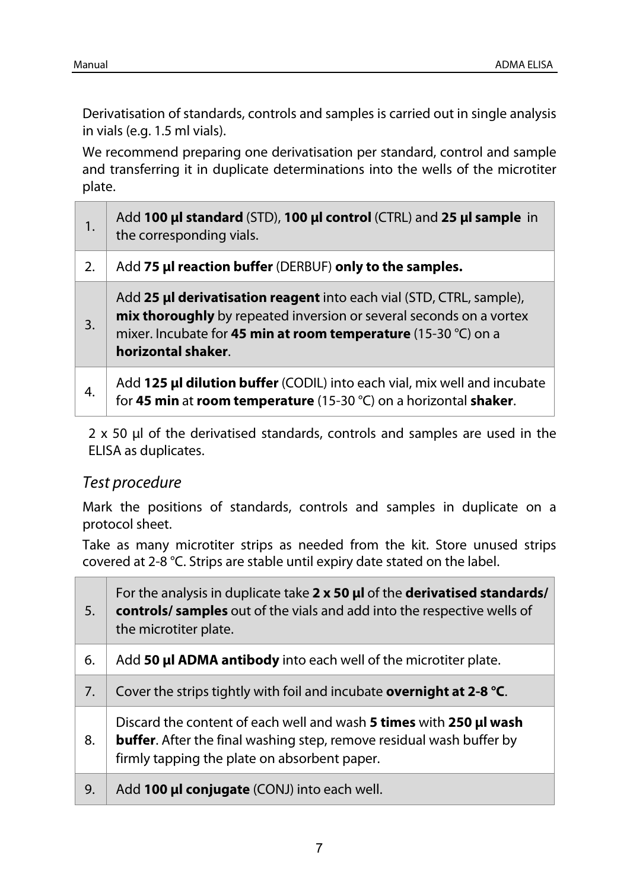Derivatisation of standards, controls and samples is carried out in single analysis in vials (e.g. 1.5 ml vials).

We recommend preparing one derivatisation per standard, control and sample and transferring it in duplicate determinations into the wells of the microtiter plate.

| 1. | Add 100 µl standard (STD), 100 µl control (CTRL) and 25 µl sample in<br>the corresponding vials.                                                                                                                                    |
|----|-------------------------------------------------------------------------------------------------------------------------------------------------------------------------------------------------------------------------------------|
| 2. | Add 75 µl reaction buffer (DERBUF) only to the samples.                                                                                                                                                                             |
| 3. | Add 25 µl derivatisation reagent into each vial (STD, CTRL, sample),<br>mix thoroughly by repeated inversion or several seconds on a vortex<br>mixer. Incubate for 45 min at room temperature (15-30 °C) on a<br>horizontal shaker. |
| 4. | Add 125 µl dilution buffer (CODIL) into each vial, mix well and incubate<br>for 45 min at room temperature (15-30 $°C$ ) on a horizontal shaker.                                                                                    |

2 x 50 µl of the derivatised standards, controls and samples are used in the ELISA as duplicates.

## *Test procedure*

Mark the positions of standards, controls and samples in duplicate on a protocol sheet.

Take as many microtiter strips as needed from the kit. Store unused strips covered at 2-8 °C. Strips are stable until expiry date stated on the label.

| 5. | For the analysis in duplicate take 2 x 50 µl of the derivatised standards/<br>controls/ samples out of the vials and add into the respective wells of<br>the microtiter plate.                     |
|----|----------------------------------------------------------------------------------------------------------------------------------------------------------------------------------------------------|
| 6. | Add 50 µl ADMA antibody into each well of the microtiter plate.                                                                                                                                    |
| 7. | Cover the strips tightly with foil and incubate overnight at 2-8 °C.                                                                                                                               |
| 8. | Discard the content of each well and wash 5 times with 250 µl wash<br><b>buffer</b> . After the final washing step, remove residual wash buffer by<br>firmly tapping the plate on absorbent paper. |
| 9. | Add <b>100 µl conjugate</b> (CONJ) into each well.                                                                                                                                                 |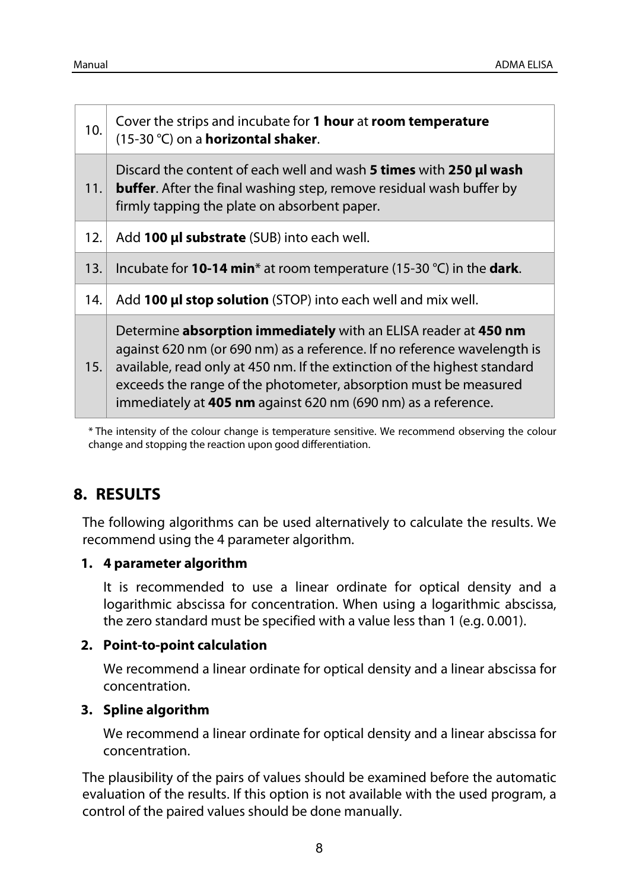| 10. | Cover the strips and incubate for 1 hour at room temperature<br>(15-30 °C) on a <b>horizontal shaker</b> .                                                                                                                                                                                                                                                    |
|-----|---------------------------------------------------------------------------------------------------------------------------------------------------------------------------------------------------------------------------------------------------------------------------------------------------------------------------------------------------------------|
| 11. | Discard the content of each well and wash 5 times with 250 µl wash<br><b>buffer</b> . After the final washing step, remove residual wash buffer by<br>firmly tapping the plate on absorbent paper.                                                                                                                                                            |
| 12. | Add 100 µl substrate (SUB) into each well.                                                                                                                                                                                                                                                                                                                    |
| 13. | Incubate for <b>10-14 min</b> <sup>*</sup> at room temperature (15-30 °C) in the <b>dark</b> .                                                                                                                                                                                                                                                                |
| 14. | Add 100 µl stop solution (STOP) into each well and mix well.                                                                                                                                                                                                                                                                                                  |
| 15. | Determine absorption immediately with an ELISA reader at 450 nm<br>against 620 nm (or 690 nm) as a reference. If no reference wavelength is<br>available, read only at 450 nm. If the extinction of the highest standard<br>exceeds the range of the photometer, absorption must be measured<br>immediately at 405 nm against 620 nm (690 nm) as a reference. |

\* The intensity of the colour change is temperature sensitive. We recommend observing the colour change and stopping the reaction upon good differentiation.

## **8. RESULTS**

The following algorithms can be used alternatively to calculate the results. We recommend using the 4 parameter algorithm.

#### **1. 4 parameter algorithm**

It is recommended to use a linear ordinate for optical density and a logarithmic abscissa for concentration. When using a logarithmic abscissa, the zero standard must be specified with a value less than 1 (e.g. 0.001).

#### **2. Point-to-point calculation**

We recommend a linear ordinate for optical density and a linear abscissa for concentration.

#### **3. Spline algorithm**

We recommend a linear ordinate for optical density and a linear abscissa for concentration.

The plausibility of the pairs of values should be examined before the automatic evaluation of the results. If this option is not available with the used program, a control of the paired values should be done manually.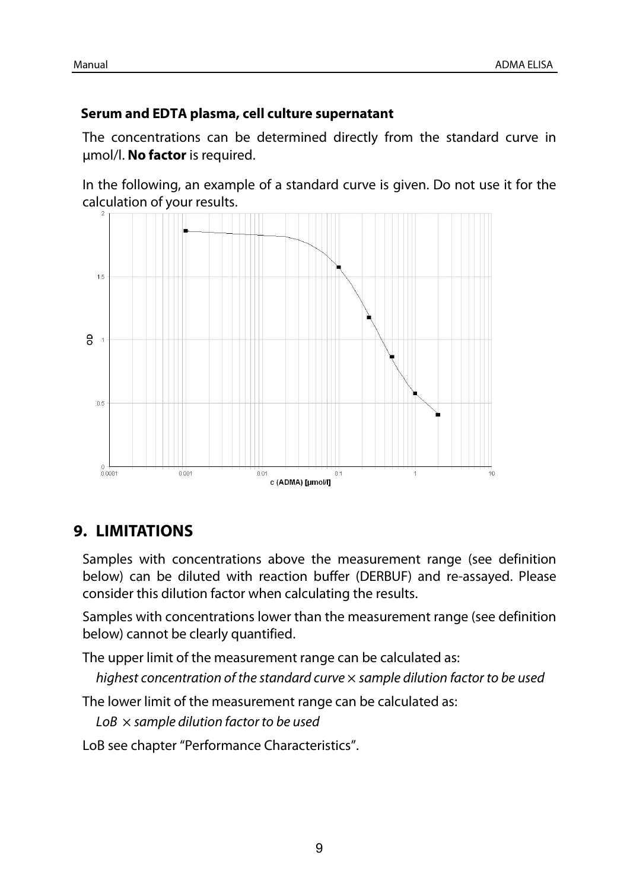#### **Serum and EDTA plasma, cell culture supernatant**

The concentrations can be determined directly from the standard curve in µmol/l. **No factor** is required.

In the following, an example of a standard curve is given. Do not use it for the calculation of your results.



## **9. LIMITATIONS**

Samples with concentrations above the measurement range (see definition below) can be diluted with reaction buffer (DERBUF) and re-assayed. Please consider this dilution factor when calculating the results.

Samples with concentrations lower than the measurement range (see definition below) cannot be clearly quantified.

The upper limit of the measurement range can be calculated as:

*highest concentration of the standard curve* × *sample dilution factor to be used* 

The lower limit of the measurement range can be calculated as:

*LoB* × *sample dilution factor to be used* 

LoB see chapter "Performance Characteristics".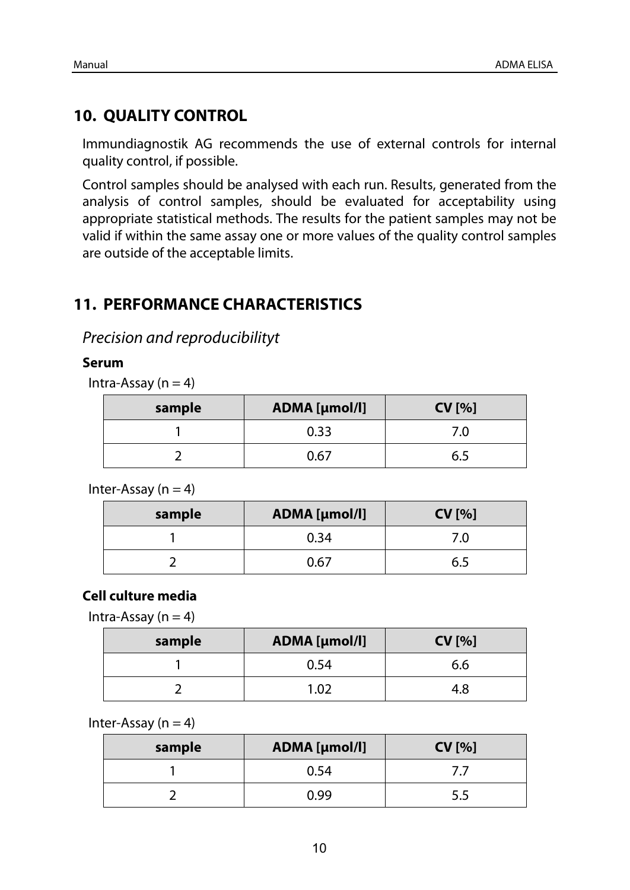## **10. QUALITY CONTROL**

Immundiagnostik AG recommends the use of external controls for internal quality control, if possible.

Control samples should be analysed with each run. Results, generated from the analysis of control samples, should be evaluated for acceptability using appropriate statistical methods. The results for the patient samples may not be valid if within the same assay one or more values of the quality control samples are outside of the acceptable limits.

## **11. PERFORMANCE CHARACTERISTICS**

## *Precision and reproducibilityt*

#### **Serum**

Intra-Assay ( $n = 4$ )

| sample | <b>ADMA [µmol/l]</b> | CV[%] |
|--------|----------------------|-------|
|        | 0.33                 |       |
|        | 0.67                 | b.:   |

Inter-Assay ( $n = 4$ )

| sample | <b>ADMA</b> [µmol/l] | CV[%] |
|--------|----------------------|-------|
|        | 0.34                 |       |
|        | 0.67                 | 6.5   |

#### **Cell culture media**

Intra-Assay ( $n = 4$ )

| sample | <b>ADMA</b> [µmol/l] | CV[%] |  |
|--------|----------------------|-------|--|
|        | 0.54                 | 6.6   |  |
|        | .02                  | 4.8   |  |

Inter-Assay ( $n = 4$ )

| sample | <b>ADMA</b> [µmol/l] | CV[%] |
|--------|----------------------|-------|
|        | 0.54                 |       |
|        | 0.99                 |       |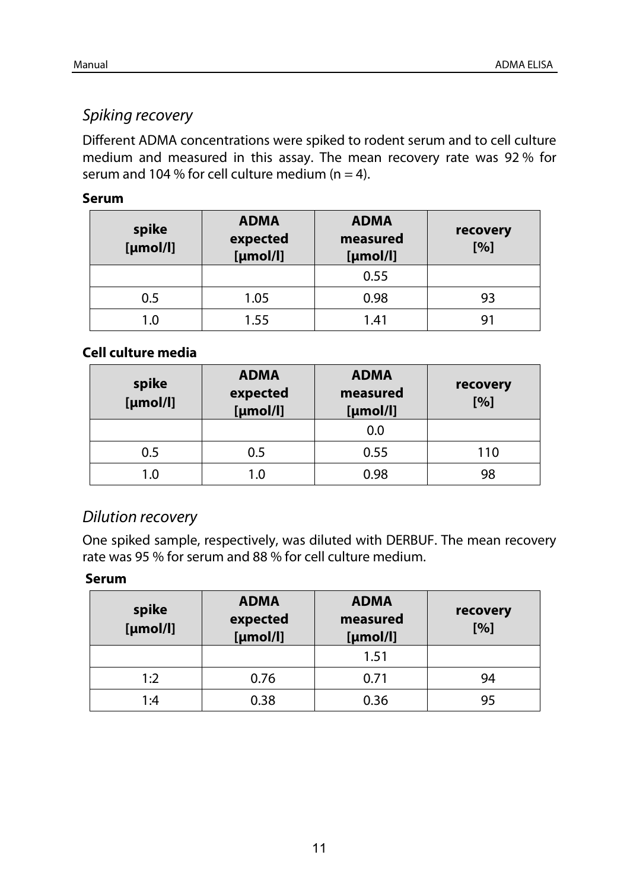## *Spiking recovery*

Different ADMA concentrations were spiked to rodent serum and to cell culture medium and measured in this assay. The mean recovery rate was 92 % for serum and 104 % for cell culture medium ( $n = 4$ ).

#### **Serum**

| spike<br>[µmol/l] | <b>ADMA</b><br>expected<br>[µmol/l] | <b>ADMA</b><br>measured<br>[µmol/l] | recovery<br>[%] |
|-------------------|-------------------------------------|-------------------------------------|-----------------|
|                   |                                     | 0.55                                |                 |
| 0.5               | 1.05                                | 0.98                                | 93              |
| 1.0               | 1.55                                | 1.41                                |                 |

#### **Cell culture media**

| spike<br>[µmol/l] | <b>ADMA</b><br>expected<br>[µmol/l] | <b>ADMA</b><br>measured<br>[µmol/l] | recovery<br>[%] |
|-------------------|-------------------------------------|-------------------------------------|-----------------|
|                   |                                     | 0.0                                 |                 |
| 0.5               | 0.5                                 | 0.55                                | 110             |
| 1.0               | 1.0                                 | 0.98                                | 98              |

## *Dilution recovery*

One spiked sample, respectively, was diluted with DERBUF. The mean recovery rate was 95 % for serum and 88 % for cell culture medium.

#### **Serum**

| spike<br>[µmol/l] | <b>ADMA</b><br>expected<br>[µmol/l] | <b>ADMA</b><br>measured<br>[µmol/l] | recovery<br>[%] |
|-------------------|-------------------------------------|-------------------------------------|-----------------|
|                   |                                     | 1.51                                |                 |
| 1:2               | 0.76                                | 0.71                                | 94              |
| 1:4               | 0.38                                | 0.36                                | 95              |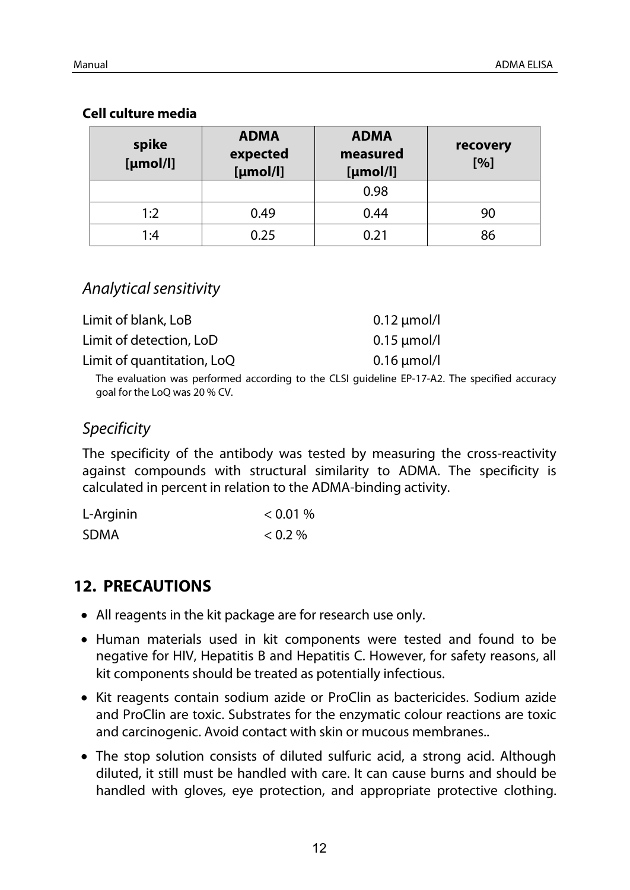#### **Cell culture media**

| spike<br>[µmol/l] | <b>ADMA</b><br>expected<br>[µmol/l] | <b>ADMA</b><br>measured<br>[µmol/l] | recovery<br>[%] |
|-------------------|-------------------------------------|-------------------------------------|-----------------|
|                   |                                     | 0.98                                |                 |
| 1:2               | 0.49                                | 0.44                                | 90              |
| 1:4               | 0.25                                | 0.21                                | 86              |

## *Analytical sensitivity*

| Limit of blank, LoB        | $0.12 \mu$ mol/l |
|----------------------------|------------------|
| Limit of detection, LoD    | $0.15 \mu$ mol/l |
| Limit of quantitation, LoQ | $0.16 \mu$ mol/l |

The evaluation was performed according to the CLSI guideline EP-17-A2. The specified accuracy goal for the LoQ was 20 % CV.

## *Specificity*

The specificity of the antibody was tested by measuring the cross-reactivity against compounds with structural similarity to ADMA. The specificity is calculated in percent in relation to the ADMA-binding activity.

| L-Arginin   | $0.01\%$ |
|-------------|----------|
| <b>SDMA</b> | $0.2\%$  |

## **12. PRECAUTIONS**

- All reagents in the kit package are for research use only.
- Human materials used in kit components were tested and found to be negative for HIV, Hepatitis B and Hepatitis C. However, for safety reasons, all kit components should be treated as potentially infectious.
- Kit reagents contain sodium azide or ProClin as bactericides. Sodium azide and ProClin are toxic. Substrates for the enzymatic colour reactions are toxic and carcinogenic. Avoid contact with skin or mucous membranes..
- The stop solution consists of diluted sulfuric acid, a strong acid. Although diluted, it still must be handled with care. It can cause burns and should be handled with gloves, eye protection, and appropriate protective clothing.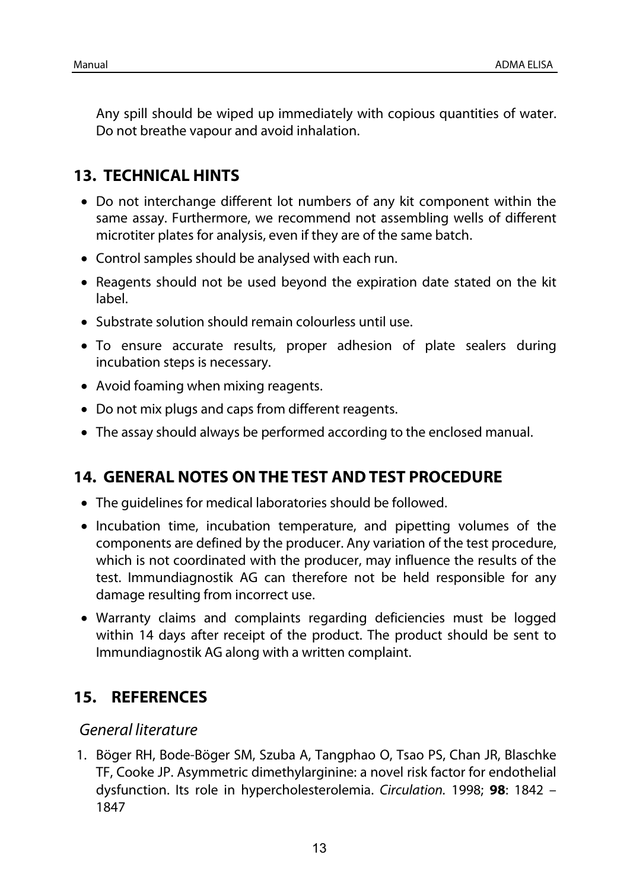Any spill should be wiped up immediately with copious quantities of water. Do not breathe vapour and avoid inhalation.

## **13. TECHNICAL HINTS**

- Do not interchange different lot numbers of any kit component within the same assay. Furthermore, we recommend not assembling wells of different microtiter plates for analysis, even if they are of the same batch.
- Control samples should be analysed with each run.
- Reagents should not be used beyond the expiration date stated on the kit label.
- Substrate solution should remain colourless until use.
- To ensure accurate results, proper adhesion of plate sealers during incubation steps is necessary.
- Avoid foaming when mixing reagents.
- Do not mix plugs and caps from different reagents.
- The assay should always be performed according to the enclosed manual.

## **14. GENERAL NOTES ON THE TEST AND TEST PROCEDURE**

- The guidelines for medical laboratories should be followed.
- Incubation time, incubation temperature, and pipetting volumes of the components are defined by the producer. Any variation of the test procedure, which is not coordinated with the producer, may influence the results of the test. Immundiagnostik AG can therefore not be held responsible for any damage resulting from incorrect use.
- Warranty claims and complaints regarding deficiencies must be logged within 14 days after receipt of the product. The product should be sent to Immundiagnostik AG along with a written complaint.

## **15. REFERENCES**

## *General literature*

1. Böger RH, Bode-Böger SM, Szuba A, Tangphao O, Tsao PS, Chan JR, Blaschke TF, Cooke JP. Asymmetric dimethylarginine: a novel risk factor for endothelial dysfunction. Its role in hypercholesterolemia. *Circulation.* 1998; **98**: 1842 – 1847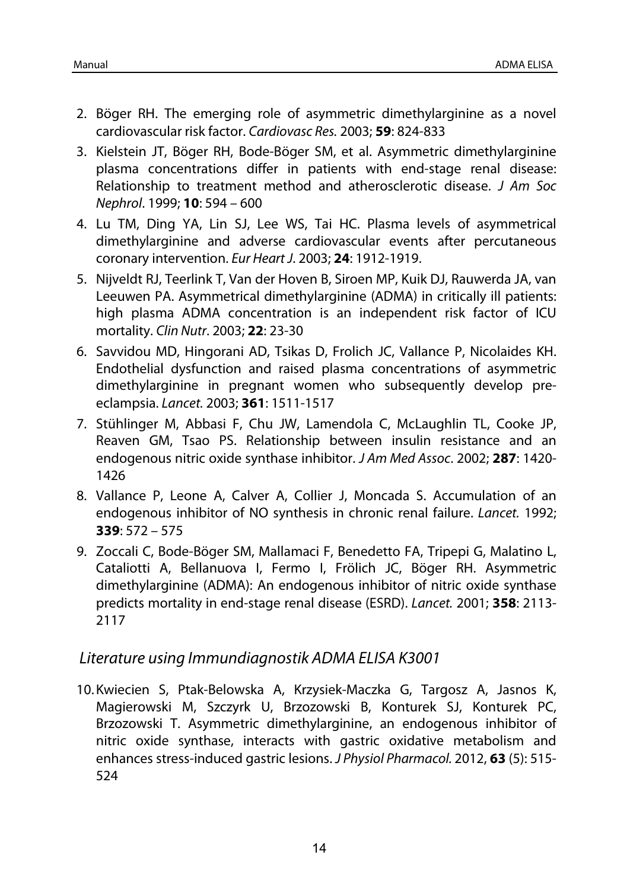- 2. Böger RH. The emerging role of asymmetric dimethylarginine as a novel cardiovascular risk factor. *Cardiovasc Res.* 2003; **59**: 824-833
- 3. Kielstein JT, Böger RH, Bode-Böger SM, et al. Asymmetric dimethylarginine plasma concentrations differ in patients with end-stage renal disease: Relationship to treatment method and atherosclerotic disease. *J Am Soc Nephrol*. 1999; **10**: 594 – 600
- 4. Lu TM, Ding YA, Lin SJ, Lee WS, Tai HC. Plasma levels of asymmetrical dimethylarginine and adverse cardiovascular events after percutaneous coronary intervention. *Eur Heart J*. 2003; **24**: 1912-1919.
- 5. Nijveldt RJ, Teerlink T, Van der Hoven B, Siroen MP, Kuik DJ, Rauwerda JA, van Leeuwen PA. Asymmetrical dimethylarginine (ADMA) in critically ill patients: high plasma ADMA concentration is an independent risk factor of ICU mortality. *Clin Nutr*. 2003; **22**: 23-30
- 6. Savvidou MD, Hingorani AD, Tsikas D, Frolich JC, Vallance P, Nicolaides KH. Endothelial dysfunction and raised plasma concentrations of asymmetric dimethylarginine in pregnant women who subsequently develop preeclampsia. *Lancet.* 2003; **361**: 1511-1517
- 7. Stühlinger M, Abbasi F, Chu JW, Lamendola C, McLaughlin TL, Cooke JP, Reaven GM, Tsao PS. Relationship between insulin resistance and an endogenous nitric oxide synthase inhibitor. *J Am Med Assoc*. 2002; **287**: 1420- 1426
- 8. Vallance P, Leone A, Calver A, Collier J, Moncada S. Accumulation of an endogenous inhibitor of NO synthesis in chronic renal failure. *Lancet.* 1992; **339**: 572 – 575
- 9. Zoccali C, Bode-Böger SM, Mallamaci F, Benedetto FA, Tripepi G, Malatino L, Cataliotti A, Bellanuova I, Fermo I, Frölich JC, Böger RH. Asymmetric dimethylarginine (ADMA): An endogenous inhibitor of nitric oxide synthase predicts mortality in end-stage renal disease (ESRD). *Lancet.* 2001; **358**: 2113- 2117

## *Literature using Immundiagnostik ADMA ELISA K3001*

10[.Kwiecien S,](http://www.ncbi.nlm.nih.gov/pubmed?term=Kwiecien%20S%5BAuthor%5D&cauthor=true&cauthor_uid=23211305) [Ptak-Belowska A,](http://www.ncbi.nlm.nih.gov/pubmed?term=Ptak-Belowska%20A%5BAuthor%5D&cauthor=true&cauthor_uid=23211305) [Krzysiek-Maczka G,](http://www.ncbi.nlm.nih.gov/pubmed?term=Krzysiek-Maczka%20G%5BAuthor%5D&cauthor=true&cauthor_uid=23211305) [Targosz A,](http://www.ncbi.nlm.nih.gov/pubmed?term=Targosz%20A%5BAuthor%5D&cauthor=true&cauthor_uid=23211305) [Jasnos K,](http://www.ncbi.nlm.nih.gov/pubmed?term=Jasnos%20K%5BAuthor%5D&cauthor=true&cauthor_uid=23211305) [Magierowski M,](http://www.ncbi.nlm.nih.gov/pubmed?term=Magierowski%20M%5BAuthor%5D&cauthor=true&cauthor_uid=23211305) [Szczyrk U,](http://www.ncbi.nlm.nih.gov/pubmed?term=Szczyrk%20U%5BAuthor%5D&cauthor=true&cauthor_uid=23211305) [Brzozowski B,](http://www.ncbi.nlm.nih.gov/pubmed?term=Brzozowski%20B%5BAuthor%5D&cauthor=true&cauthor_uid=23211305) [Konturek SJ,](http://www.ncbi.nlm.nih.gov/pubmed?term=Konturek%20SJ%5BAuthor%5D&cauthor=true&cauthor_uid=23211305) [Konturek PC,](http://www.ncbi.nlm.nih.gov/pubmed?term=Konturek%20PC%5BAuthor%5D&cauthor=true&cauthor_uid=23211305) [Brzozowski T.](http://www.ncbi.nlm.nih.gov/pubmed?term=Brzozowski%20T%5BAuthor%5D&cauthor=true&cauthor_uid=23211305) Asymmetric dimethylarginine, an endogenous inhibitor of nitric oxide synthase, interacts with gastric oxidative metabolism and enhances stress-induced gastric lesions. *J Physiol Pharmacol.* 2012, **63** (5): 515- 524